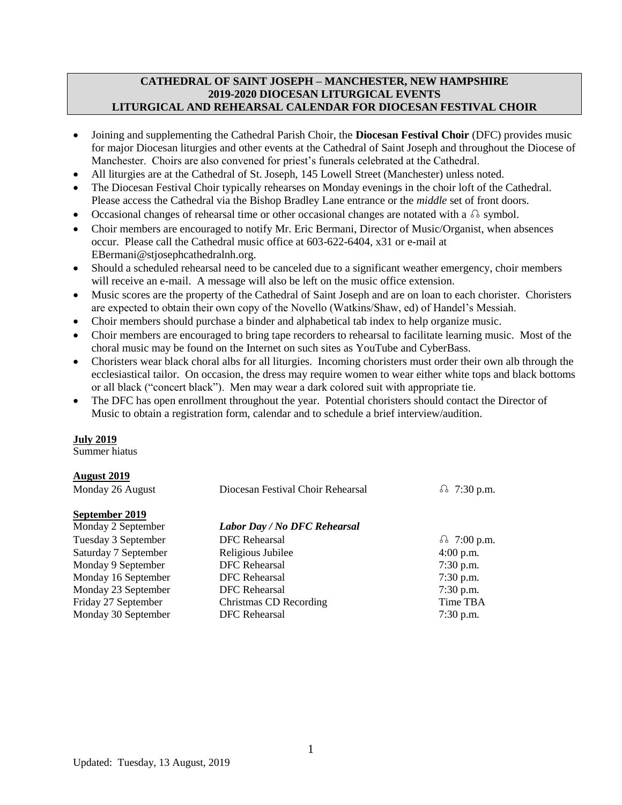### **CATHEDRAL OF SAINT JOSEPH – MANCHESTER, NEW HAMPSHIRE 2019-2020 DIOCESAN LITURGICAL EVENTS LITURGICAL AND REHEARSAL CALENDAR FOR DIOCESAN FESTIVAL CHOIR**

- Joining and supplementing the Cathedral Parish Choir, the **Diocesan Festival Choir** (DFC) provides music for major Diocesan liturgies and other events at the Cathedral of Saint Joseph and throughout the Diocese of Manchester. Choirs are also convened for priest's funerals celebrated at the Cathedral.
- All liturgies are at the Cathedral of St. Joseph, 145 Lowell Street (Manchester) unless noted.
- The Diocesan Festival Choir typically rehearses on Monday evenings in the choir loft of the Cathedral. Please access the Cathedral via the Bishop Bradley Lane entrance or the *middle* set of front doors.
- Occasional changes of rehearsal time or other occasional changes are notated with a ☊ symbol.
- Choir members are encouraged to notify Mr. Eric Bermani, Director of Music/Organist, when absences occur. Please call the Cathedral music office at 603-622-6404, x31 or e-mail at EBermani@stjosephcathedralnh.org.
- Should a scheduled rehearsal need to be canceled due to a significant weather emergency, choir members will receive an e-mail. A message will also be left on the music office extension.
- Music scores are the property of the Cathedral of Saint Joseph and are on loan to each chorister. Choristers are expected to obtain their own copy of the Novello (Watkins/Shaw, ed) of Handel's Messiah.
- Choir members should purchase a binder and alphabetical tab index to help organize music.
- Choir members are encouraged to bring tape recorders to rehearsal to facilitate learning music. Most of the choral music may be found on the Internet on such sites as YouTube and CyberBass.
- Choristers wear black choral albs for all liturgies. Incoming choristers must order their own alb through the ecclesiastical tailor. On occasion, the dress may require women to wear either white tops and black bottoms or all black ("concert black"). Men may wear a dark colored suit with appropriate tie.
- The DFC has open enrollment throughout the year. Potential choristers should contact the Director of Music to obtain a registration form, calendar and to schedule a brief interview/audition.

#### **July 2019**

Summer hiatus

#### **August 2019**

| Monday 26 August     | Diocesan Festival Choir Rehearsal | δ 7:30 p.m.        |
|----------------------|-----------------------------------|--------------------|
| September 2019       |                                   |                    |
| Monday 2 September   | Labor Day / No DFC Rehearsal      |                    |
| Tuesday 3 September  | <b>DFC</b> Rehearsal              | $\Omega$ 7:00 p.m. |
| Saturday 7 September | Religious Jubilee                 | $4:00$ p.m.        |
| Monday 9 September   | <b>DFC</b> Rehearsal              | $7:30$ p.m.        |
| Monday 16 September  | <b>DFC</b> Rehearsal              | $7:30$ p.m.        |
| Monday 23 September  | DFC Rehearsal                     | $7:30$ p.m.        |
| Friday 27 September  | Christmas CD Recording            | Time TBA           |
| Monday 30 September  | <b>DFC</b> Rehearsal              | $7:30$ p.m.        |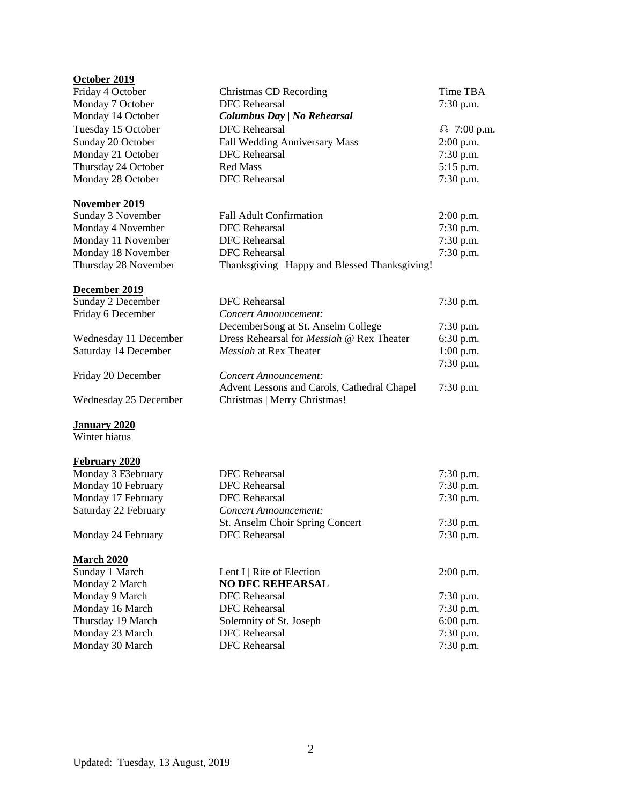# **October 2019**

| OCWUCL HUIZ           |                                                |                  |  |
|-----------------------|------------------------------------------------|------------------|--|
| Friday 4 October      | <b>Christmas CD Recording</b>                  | Time TBA         |  |
| Monday 7 October      | <b>DFC</b> Rehearsal                           | 7:30 p.m.        |  |
| Monday 14 October     | Columbus Day   No Rehearsal                    |                  |  |
| Tuesday 15 October    | <b>DFC</b> Rehearsal                           | δ 7:00 p.m.      |  |
| Sunday 20 October     | Fall Wedding Anniversary Mass                  | 2:00 p.m.        |  |
| Monday 21 October     | <b>DFC</b> Rehearsal                           | 7:30 p.m.        |  |
| Thursday 24 October   | <b>Red Mass</b>                                | 5:15 p.m.        |  |
| Monday 28 October     | <b>DFC</b> Rehearsal                           | 7:30 p.m.        |  |
| November 2019         |                                                |                  |  |
| Sunday 3 November     | <b>Fall Adult Confirmation</b>                 | $2:00$ p.m.      |  |
| Monday 4 November     | <b>DFC</b> Rehearsal                           | 7:30 p.m.        |  |
| Monday 11 November    | <b>DFC</b> Rehearsal                           | 7:30 p.m.        |  |
| Monday 18 November    | <b>DFC</b> Rehearsal                           | 7:30 p.m.        |  |
| Thursday 28 November  | Thanksgiving   Happy and Blessed Thanksgiving! |                  |  |
| December 2019         |                                                |                  |  |
| Sunday 2 December     | <b>DFC</b> Rehearsal                           | $7:30$ p.m.      |  |
| Friday 6 December     | <b>Concert Announcement:</b>                   |                  |  |
|                       | DecemberSong at St. Anselm College             | 7:30 p.m.        |  |
| Wednesday 11 December | Dress Rehearsal for Messiah @ Rex Theater      | 6:30 p.m.        |  |
| Saturday 14 December  | Messiah at Rex Theater                         | $1:00$ p.m.      |  |
|                       |                                                | 7:30 p.m.        |  |
| Friday 20 December    | Concert Announcement:                          |                  |  |
|                       | Advent Lessons and Carols, Cathedral Chapel    | 7:30 p.m.        |  |
| Wednesday 25 December | Christmas   Merry Christmas!                   |                  |  |
| <b>January 2020</b>   |                                                |                  |  |
| Winter hiatus         |                                                |                  |  |
| February 2020         |                                                |                  |  |
| Monday 3 F3ebruary    | <b>DFC</b> Rehearsal                           | 7:30 p.m.        |  |
| Monday 10 February    | <b>DFC</b> Rehearsal                           | 7:30 p.m.        |  |
| Monday 17 February    | <b>DFC</b> Rehearsal                           | $7:30$ p.m.      |  |
| Saturday 22 February  | <b>Concert Announcement:</b>                   |                  |  |
|                       | St. Anselm Choir Spring Concert                | 7:30 p.m.        |  |
| Monday 24 February    | <b>DFC</b> Rehearsal                           | 7:30 p.m.        |  |
| <b>March 2020</b>     |                                                |                  |  |
| Sundov 1 Morch        | L ant $I \perp \mathbf{D}$ its of Election     | $2.00 \text{ m}$ |  |

| Sunday 1 March    | Lent I   Rite of Election | $2:00$ p.m. |
|-------------------|---------------------------|-------------|
| Monday 2 March    | <b>NO DFC REHEARSAL</b>   |             |
| Monday 9 March    | DFC Rehearsal             | $7:30$ p.m. |
| Monday 16 March   | DFC Rehearsal             | $7:30$ p.m. |
| Thursday 19 March | Solemnity of St. Joseph   | $6:00$ p.m. |
| Monday 23 March   | DFC Rehearsal             | $7:30$ p.m. |
| Monday 30 March   | DFC Rehearsal             | $7:30$ p.m. |
|                   |                           |             |